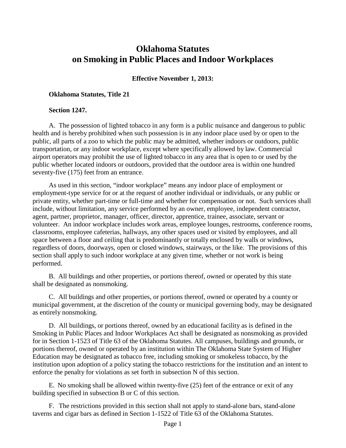# **Oklahoma Statutes on Smoking in Public Places and Indoor Workplaces**

### **Effective November 1, 2013:**

#### **Oklahoma Statutes, Title 21**

#### **Section 1247.**

A. The possession of lighted tobacco in any form is a public nuisance and dangerous to public health and is hereby prohibited when such possession is in any indoor place used by or open to the public, all parts of a zoo to which the public may be admitted, whether indoors or outdoors, public transportation, or any indoor workplace, except where specifically allowed by law. Commercial airport operators may prohibit the use of lighted tobacco in any area that is open to or used by the public whether located indoors or outdoors, provided that the outdoor area is within one hundred seventy-five (175) feet from an entrance.

As used in this section, "indoor workplace" means any indoor place of employment or employment-type service for or at the request of another individual or individuals, or any public or private entity, whether part-time or full-time and whether for compensation or not. Such services shall include, without limitation, any service performed by an owner, employee, independent contractor, agent, partner, proprietor, manager, officer, director, apprentice, trainee, associate, servant or volunteer. An indoor workplace includes work areas, employee lounges, restrooms, conference rooms, classrooms, employee cafeterias, hallways, any other spaces used or visited by employees, and all space between a floor and ceiling that is predominantly or totally enclosed by walls or windows, regardless of doors, doorways, open or closed windows, stairways, or the like. The provisions of this section shall apply to such indoor workplace at any given time, whether or not work is being performed.

B. All buildings and other properties, or portions thereof, owned or operated by this state shall be designated as nonsmoking.

C. All buildings and other properties, or portions thereof, owned or operated by a county or municipal government, at the discretion of the county or municipal governing body, may be designated as entirely nonsmoking.

D. All buildings, or portions thereof, owned by an educational facility as is defined in the Smoking in Public Places and Indoor Workplaces Act shall be designated as nonsmoking as provided for in Section 1-1523 of Title 63 of the Oklahoma Statutes. All campuses, buildings and grounds, or portions thereof, owned or operated by an institution within The Oklahoma State System of Higher Education may be designated as tobacco free, including smoking or smokeless tobacco, by the institution upon adoption of a policy stating the tobacco restrictions for the institution and an intent to enforce the penalty for violations as set forth in subsection N of this section.

E. No smoking shall be allowed within twenty-five (25) feet of the entrance or exit of any building specified in subsection B or C of this section.

F. The restrictions provided in this section shall not apply to stand-alone bars, stand-alone taverns and cigar bars as defined in Section 1-1522 of Title 63 of the Oklahoma Statutes.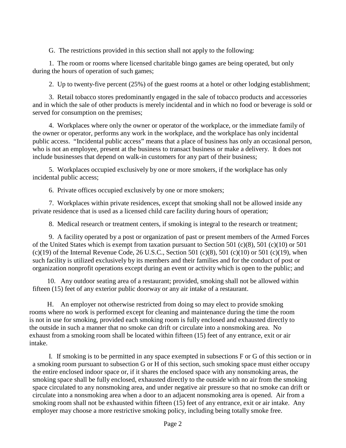G. The restrictions provided in this section shall not apply to the following:

1. The room or rooms where licensed charitable bingo games are being operated, but only during the hours of operation of such games;

2. Up to twenty-five percent (25%) of the guest rooms at a hotel or other lodging establishment;

3. Retail tobacco stores predominantly engaged in the sale of tobacco products and accessories and in which the sale of other products is merely incidental and in which no food or beverage is sold or served for consumption on the premises;

4. Workplaces where only the owner or operator of the workplace, or the immediate family of the owner or operator, performs any work in the workplace, and the workplace has only incidental public access. "Incidental public access" means that a place of business has only an occasional person, who is not an employee, present at the business to transact business or make a delivery. It does not include businesses that depend on walk-in customers for any part of their business;

5. Workplaces occupied exclusively by one or more smokers, if the workplace has only incidental public access;

6. Private offices occupied exclusively by one or more smokers;

7. Workplaces within private residences, except that smoking shall not be allowed inside any private residence that is used as a licensed child care facility during hours of operation;

8. Medical research or treatment centers, if smoking is integral to the research or treatment;

9. A facility operated by a post or organization of past or present members of the Armed Forces of the United States which is exempt from taxation pursuant to Section 501 (c)(8), 501 (c)(10) or 501  $(c)(19)$  of the Internal Revenue Code, 26 U.S.C., Section 501  $(c)(8)$ , 501  $(c)(10)$  or 501  $(c)(19)$ , when such facility is utilized exclusively by its members and their families and for the conduct of post or organization nonprofit operations except during an event or activity which is open to the public; and

10. Any outdoor seating area of a restaurant; provided, smoking shall not be allowed within fifteen (15) feet of any exterior public doorway or any air intake of a restaurant.

H. An employer not otherwise restricted from doing so may elect to provide smoking rooms where no work is performed except for cleaning and maintenance during the time the room is not in use for smoking, provided each smoking room is fully enclosed and exhausted directly to the outside in such a manner that no smoke can drift or circulate into a nonsmoking area. No exhaust from a smoking room shall be located within fifteen (15) feet of any entrance, exit or air intake.

I. If smoking is to be permitted in any space exempted in subsections F or G of this section or in a smoking room pursuant to subsection G or H of this section, such smoking space must either occupy the entire enclosed indoor space or, if it shares the enclosed space with any nonsmoking areas, the smoking space shall be fully enclosed, exhausted directly to the outside with no air from the smoking space circulated to any nonsmoking area, and under negative air pressure so that no smoke can drift or circulate into a nonsmoking area when a door to an adjacent nonsmoking area is opened. Air from a smoking room shall not be exhausted within fifteen (15) feet of any entrance, exit or air intake. Any employer may choose a more restrictive smoking policy, including being totally smoke free.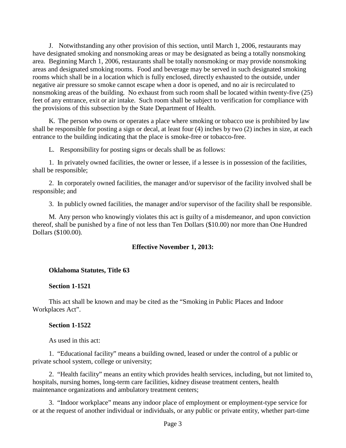J. Notwithstanding any other provision of this section, until March 1, 2006, restaurants may have designated smoking and nonsmoking areas or may be designated as being a totally nonsmoking area. Beginning March 1, 2006, restaurants shall be totally nonsmoking or may provide nonsmoking areas and designated smoking rooms. Food and beverage may be served in such designated smoking rooms which shall be in a location which is fully enclosed, directly exhausted to the outside, under negative air pressure so smoke cannot escape when a door is opened, and no air is recirculated to nonsmoking areas of the building. No exhaust from such room shall be located within twenty-five (25) feet of any entrance, exit or air intake. Such room shall be subject to verification for compliance with the provisions of this subsection by the State Department of Health.

K. The person who owns or operates a place where smoking or tobacco use is prohibited by law shall be responsible for posting a sign or decal, at least four (4) inches by two (2) inches in size, at each entrance to the building indicating that the place is smoke-free or tobacco-free.

L. Responsibility for posting signs or decals shall be as follows:

1. In privately owned facilities, the owner or lessee, if a lessee is in possession of the facilities, shall be responsible;

2. In corporately owned facilities, the manager and/or supervisor of the facility involved shall be responsible; and

3. In publicly owned facilities, the manager and/or supervisor of the facility shall be responsible.

M. Any person who knowingly violates this act is guilty of a misdemeanor, and upon conviction thereof, shall be punished by a fine of not less than Ten Dollars (\$10.00) nor more than One Hundred Dollars (\$100.00).

#### **Effective November 1, 2013:**

#### **Oklahoma Statutes, Title 63**

#### **Section 1-1521**

This act shall be known and may be cited as the "Smoking in Public Places and Indoor Workplaces Act".

#### **Section 1-1522**

As used in this act:

1. "Educational facility" means a building owned, leased or under the control of a public or private school system, college or university;

2. "Health facility" means an entity which provides health services, including, but not limited to, hospitals, nursing homes, long-term care facilities, kidney disease treatment centers, health maintenance organizations and ambulatory treatment centers;

3. "Indoor workplace" means any indoor place of employment or employment-type service for or at the request of another individual or individuals, or any public or private entity, whether part-time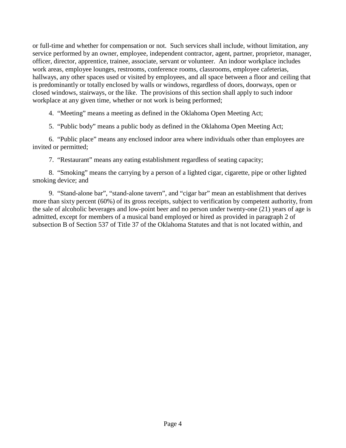or full-time and whether for compensation or not. Such services shall include, without limitation, any service performed by an owner, employee, independent contractor, agent, partner, proprietor, manager, officer, director, apprentice, trainee, associate, servant or volunteer. An indoor workplace includes work areas, employee lounges, restrooms, conference rooms, classrooms, employee cafeterias, hallways, any other spaces used or visited by employees, and all space between a floor and ceiling that is predominantly or totally enclosed by walls or windows, regardless of doors, doorways, open or closed windows, stairways, or the like. The provisions of this section shall apply to such indoor workplace at any given time, whether or not work is being performed;

4. "Meeting" means a meeting as defined in the Oklahoma Open Meeting Act;

5. "Public body" means a public body as defined in the Oklahoma Open Meeting Act;

6. "Public place" means any enclosed indoor area where individuals other than employees are invited or permitted;

7. "Restaurant" means any eating establishment regardless of seating capacity;

8. "Smoking" means the carrying by a person of a lighted cigar, cigarette, pipe or other lighted smoking device; and

9. "Stand-alone bar", "stand-alone tavern", and "cigar bar" mean an establishment that derives more than sixty percent (60%) of its gross receipts, subject to verification by competent authority, from the sale of alcoholic beverages and low-point beer and no person under twenty-one (21) years of age is admitted, except for members of a musical band employed or hired as provided in paragraph 2 of subsection B of Section 537 of Title 37 of the Oklahoma Statutes and that is not located within, and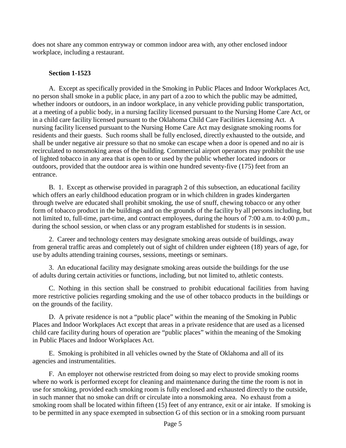does not share any common entryway or common indoor area with, any other enclosed indoor workplace, including a restaurant.

# **Section 1-1523**

A. Except as specifically provided in the Smoking in Public Places and Indoor Workplaces Act, no person shall smoke in a public place, in any part of a zoo to which the public may be admitted, whether indoors or outdoors, in an indoor workplace, in any vehicle providing public transportation, at a meeting of a public body, in a nursing facility licensed pursuant to the Nursing Home Care Act, or in a child care facility licensed pursuant to the Oklahoma Child Care Facilities Licensing Act. A nursing facility licensed pursuant to the Nursing Home Care Act may designate smoking rooms for residents and their guests. Such rooms shall be fully enclosed, directly exhausted to the outside, and shall be under negative air pressure so that no smoke can escape when a door is opened and no air is recirculated to nonsmoking areas of the building. Commercial airport operators may prohibit the use of lighted tobacco in any area that is open to or used by the public whether located indoors or outdoors, provided that the outdoor area is within one hundred seventy-five (175) feet from an entrance.

B. 1. Except as otherwise provided in paragraph 2 of this subsection, an educational facility which offers an early childhood education program or in which children in grades kindergarten through twelve are educated shall prohibit smoking, the use of snuff, chewing tobacco or any other form of tobacco product in the buildings and on the grounds of the facility by all persons including, but not limited to, full-time, part-time, and contract employees, during the hours of 7:00 a.m. to 4:00 p.m., during the school session, or when class or any program established for students is in session.

2. Career and technology centers may designate smoking areas outside of buildings, away from general traffic areas and completely out of sight of children under eighteen (18) years of age, for use by adults attending training courses, sessions, meetings or seminars.

3. An educational facility may designate smoking areas outside the buildings for the use of adults during certain activities or functions, including, but not limited to, athletic contests.

C. Nothing in this section shall be construed to prohibit educational facilities from having more restrictive policies regarding smoking and the use of other tobacco products in the buildings or on the grounds of the facility.

D. A private residence is not a "public place" within the meaning of the Smoking in Public Places and Indoor Workplaces Act except that areas in a private residence that are used as a licensed child care facility during hours of operation are "public places" within the meaning of the Smoking in Public Places and Indoor Workplaces Act.

E. Smoking is prohibited in all vehicles owned by the State of Oklahoma and all of its agencies and instrumentalities.

F. An employer not otherwise restricted from doing so may elect to provide smoking rooms where no work is performed except for cleaning and maintenance during the time the room is not in use for smoking, provided each smoking room is fully enclosed and exhausted directly to the outside, in such manner that no smoke can drift or circulate into a nonsmoking area. No exhaust from a smoking room shall be located within fifteen (15) feet of any entrance, exit or air intake. If smoking is to be permitted in any space exempted in subsection G of this section or in a smoking room pursuant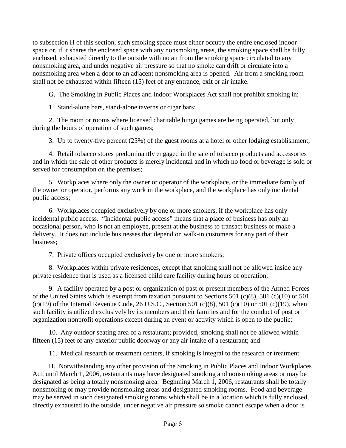to subsection H of this section, such smoking space must either occupy the entire enclosed indoor space or, if it shares the enclosed space with any nonsmoking areas, the smoking space shall be fully enclosed, exhausted directly to the outside with no air from the smoking space circulated to any nonsmoking area, and under negative air pressure so that no smoke can drift or circulate into a nonsmoking area when a door to an adjacent nonsmoking area is opened. Air from a smoking room shall not be exhausted within fifteen (15) feet of any entrance, exit or air intake.

G. The Smoking in Public Places and Indoor Workplaces Act shall not prohibit smoking in:

1. Stand-alone bars, stand-alone taverns or cigar bars;

2. The room or rooms where licensed charitable bingo games are being operated, but only during the hours of operation of such games;

3. Up to twenty-five percent (25%) of the guest rooms at a hotel or other lodging establishment;

4. Retail tobacco stores predominantly engaged in the sale of tobacco products and accessories and in which the sale of other products is merely incidental and in which no food or beverage is sold or served for consumption on the premises;

5. Workplaces where only the owner or operator of the workplace, or the immediate family of the owner or operator, performs any work in the workplace, and the workplace has only incidental public access;

6. Workplaces occupied exclusively by one or more smokers, if the workplace has only incidental public access. "Incidental public access" means that a place of business has only an occasional person, who is not an employee, present at the business to transact business or make a delivery. It does not include businesses that depend on walk-in customers for any part of their business;

7. Private offices occupied exclusively by one or more smokers;

8. Workplaces within private residences, except that smoking shall not be allowed inside any private residence that is used as a licensed child care facility during hours of operation;

9. A facility operated by a post or organization of past or present members of the Armed Forces of the United States which is exempt from taxation pursuant to Sections 501 (c)(8), 501 (c)(10) or 501  $(c)(19)$  of the Internal Revenue Code, 26 U.S.C., Section 501  $(c)(8)$ , 501  $(c)(10)$  or 501  $(c)(19)$ , when such facility is utilized exclusively by its members and their families and for the conduct of post or organization nonprofit operations except during an event or activity which is open to the public;

10. Any outdoor seating area of a restaurant; provided, smoking shall not be allowed within fifteen (15) feet of any exterior public doorway or any air intake of a restaurant; and

11. Medical research or treatment centers, if smoking is integral to the research or treatment.

H. Notwithstanding any other provision of the Smoking in Public Places and Indoor Workplaces Act, until March 1, 2006, restaurants may have designated smoking and nonsmoking areas or may be designated as being a totally nonsmoking area. Beginning March 1, 2006, restaurants shall be totally nonsmoking or may provide nonsmoking areas and designated smoking rooms. Food and beverage may be served in such designated smoking rooms which shall be in a location which is fully enclosed, directly exhausted to the outside, under negative air pressure so smoke cannot escape when a door is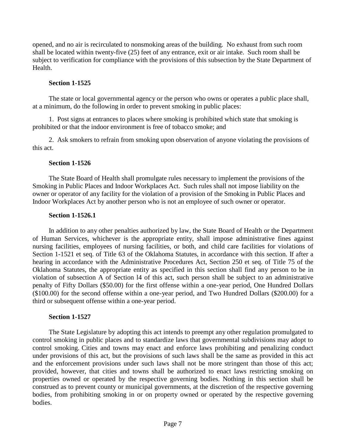opened, and no air is recirculated to nonsmoking areas of the building. No exhaust from such room shall be located within twenty-five (25) feet of any entrance, exit or air intake. Such room shall be subject to verification for compliance with the provisions of this subsection by the State Department of Health.

# **Section 1-1525**

The state or local governmental agency or the person who owns or operates a public place shall, at a minimum, do the following in order to prevent smoking in public places:

1. Post signs at entrances to places where smoking is prohibited which state that smoking is prohibited or that the indoor environment is free of tobacco smoke; and

2. Ask smokers to refrain from smoking upon observation of anyone violating the provisions of this act.

## **Section 1-1526**

The State Board of Health shall promulgate rules necessary to implement the provisions of the Smoking in Public Places and Indoor Workplaces Act. Such rules shall not impose liability on the owner or operator of any facility for the violation of a provision of the Smoking in Public Places and Indoor Workplaces Act by another person who is not an employee of such owner or operator.

## **Section 1-1526.1**

In addition to any other penalties authorized by law, the State Board of Health or the Department of Human Services, whichever is the appropriate entity, shall impose administrative fines against nursing facilities, employees of nursing facilities, or both, and child care facilities for violations of Section 1-1521 et seq. of Title 63 of the Oklahoma Statutes, in accordance with this section. If after a hearing in accordance with the Administrative Procedures Act, Section 250 et seq. of Title 75 of the Oklahoma Statutes, the appropriate entity as specified in this section shall find any person to be in violation of subsection A of Section l4 of this act, such person shall be subject to an administrative penalty of Fifty Dollars (\$50.00) for the first offense within a one-year period, One Hundred Dollars (\$100.00) for the second offense within a one-year period, and Two Hundred Dollars (\$200.00) for a third or subsequent offense within a one-year period.

# **Section 1-1527**

The State Legislature by adopting this act intends to preempt any other regulation promulgated to control smoking in public places and to standardize laws that governmental subdivisions may adopt to control smoking. Cities and towns may enact and enforce laws prohibiting and penalizing conduct under provisions of this act, but the provisions of such laws shall be the same as provided in this act and the enforcement provisions under such laws shall not be more stringent than those of this act; provided, however, that cities and towns shall be authorized to enact laws restricting smoking on properties owned or operated by the respective governing bodies. Nothing in this section shall be construed as to prevent county or municipal governments, at the discretion of the respective governing bodies, from prohibiting smoking in or on property owned or operated by the respective governing bodies.